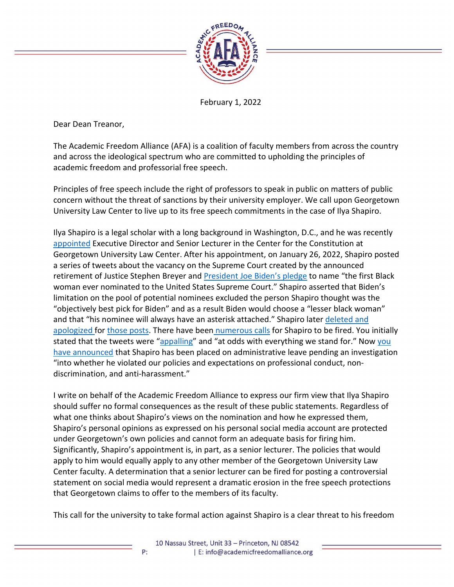

February 1, 2022

Dear Dean Treanor,

The Academic Freedom Alliance (AFA) is a coalition of faculty members from across the country and across the ideological spectrum who are committed to upholding the principles of academic freedom and professorial free speech.

Principles of free speech include the right of professors to speak in public on matters of public concern without the threat of sanctions by their university employer. We call upon Georgetown University Law Center to live up to its free speech commitments in the case of Ilya Shapiro.

Ilya Shapiro is a legal scholar with a long background in Washington, D.C., and he was recently [appointed](https://www.law.georgetown.edu/news/constitutional-law-and-supreme-court-expert-ilya-shapiro-joins-the-georgetown-center-for-the-constitution/) Executive Director and Senior Lecturer in the Center for the Constitution at Georgetown University Law Center. After his appointment, on January 26, 2022, Shapiro posted a series of tweets about the vacancy on the Supreme Court created by the announced retirement of Justice Stephen Breyer and [President Joe Biden's pledge](https://www.npr.org/2022/01/30/1076798457/biden-may-fulfill-a-campaign-promise-to-black-voters-with-his-supreme-court-nomi) to name "the first Black woman ever nominated to the United States Supreme Court." Shapiro asserted that Biden's limitation on the pool of potential nominees excluded the person Shapiro thought was the "objectively best pick for Biden" and as a result Biden would choose a "lesser black woman" and that "his nominee will always have an asterisk attached." Shapiro later [deleted and](https://www.washingtonpost.com/education/2022/01/27/georgetown-law-ilya-shapiro-tweets/)  [apologized f](https://www.washingtonpost.com/education/2022/01/27/georgetown-law-ilya-shapiro-tweets/)or [those posts.](https://reason.com/2022/01/28/georgetown-should-not-fire-ilya-shapiro-for-a-bad-tweet/) There have been [numerous calls](https://www.insidehighered.com/quicktakes/2022/01/31/georgetown-law-students-want-official-fired-over-tweet) for Shapiro to be fired. You initially stated that the tweets were ["appalling"](https://www.insidehighered.com/quicktakes/2022/01/31/georgetown-law-students-want-official-fired-over-tweet) and "at odds with everything we stand for." Now you [have announced](https://www.washingtonpost.com/education/2022/01/31/georgetown-law-ilya-shapiro-administrative-leave/) that Shapiro has been placed on administrative leave pending an investigation "into whether he violated our policies and expectations on professional conduct, nondiscrimination, and anti-harassment."

I write on behalf of the Academic Freedom Alliance to express our firm view that Ilya Shapiro should suffer no formal consequences as the result of these public statements. Regardless of what one thinks about Shapiro's views on the nomination and how he expressed them, Shapiro's personal opinions as expressed on his personal social media account are protected under Georgetown's own policies and cannot form an adequate basis for firing him. Significantly, Shapiro's appointment is, in part, as a senior lecturer. The policies that would apply to him would equally apply to any other member of the Georgetown University Law Center faculty. A determination that a senior lecturer can be fired for posting a controversial statement on social media would represent a dramatic erosion in the free speech protections that Georgetown claims to offer to the members of its faculty.

This call for the university to take formal action against Shapiro is a clear threat to his freedom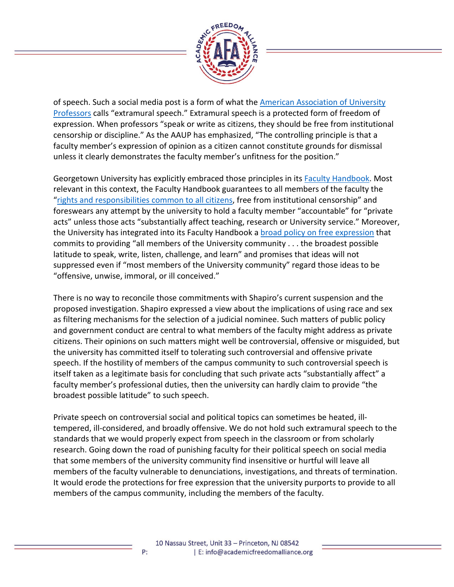

of speech. Such a social media post is a form of what the [American Association of University](https://www.aaup.org/report/1940-statement-principles-academic-freedom-and-tenure)  [Professors](https://www.aaup.org/report/1940-statement-principles-academic-freedom-and-tenure) calls "extramural speech." Extramural speech is a protected form of freedom of expression. When professors "speak or write as citizens, they should be free from institutional censorship or discipline." As the AAUP has emphasized, "The controlling principle is that a faculty member's expression of opinion as a citizen cannot constitute grounds for dismissal unless it clearly demonstrates the faculty member's unfitness for the position."

Georgetown University has explicitly embraced those principles in its [Faculty Handbook.](https://facultyhandbook.georgetown.edu/section1/a/) Most relevant in this context, the Faculty Handbook guarantees to all members of the faculty the ["rights and responsibilities common to all citizens,](https://facultyhandbook.georgetown.edu/section3/c/) free from institutional censorship" and foreswears any attempt by the university to hold a faculty member "accountable" for "private acts" unless those acts "substantially affect teaching, research or University service." Moreover, the University has integrated into its Faculty Handbook a [broad policy on free expression](https://facultyhandbook.georgetown.edu/section4/l/) that commits to providing "all members of the University community . . . the broadest possible latitude to speak, write, listen, challenge, and learn" and promises that ideas will not suppressed even if "most members of the University community" regard those ideas to be "offensive, unwise, immoral, or ill conceived."

There is no way to reconcile those commitments with Shapiro's current suspension and the proposed investigation. Shapiro expressed a view about the implications of using race and sex as filtering mechanisms for the selection of a judicial nominee. Such matters of public policy and government conduct are central to what members of the faculty might address as private citizens. Their opinions on such matters might well be controversial, offensive or misguided, but the university has committed itself to tolerating such controversial and offensive private speech. If the hostility of members of the campus community to such controversial speech is itself taken as a legitimate basis for concluding that such private acts "substantially affect" a faculty member's professional duties, then the university can hardly claim to provide "the broadest possible latitude" to such speech.

Private speech on controversial social and political topics can sometimes be heated, illtempered, ill-considered, and broadly offensive. We do not hold such extramural speech to the standards that we would properly expect from speech in the classroom or from scholarly research. Going down the road of punishing faculty for their political speech on social media that some members of the university community find insensitive or hurtful will leave all members of the faculty vulnerable to denunciations, investigations, and threats of termination. It would erode the protections for free expression that the university purports to provide to all members of the campus community, including the members of the faculty.